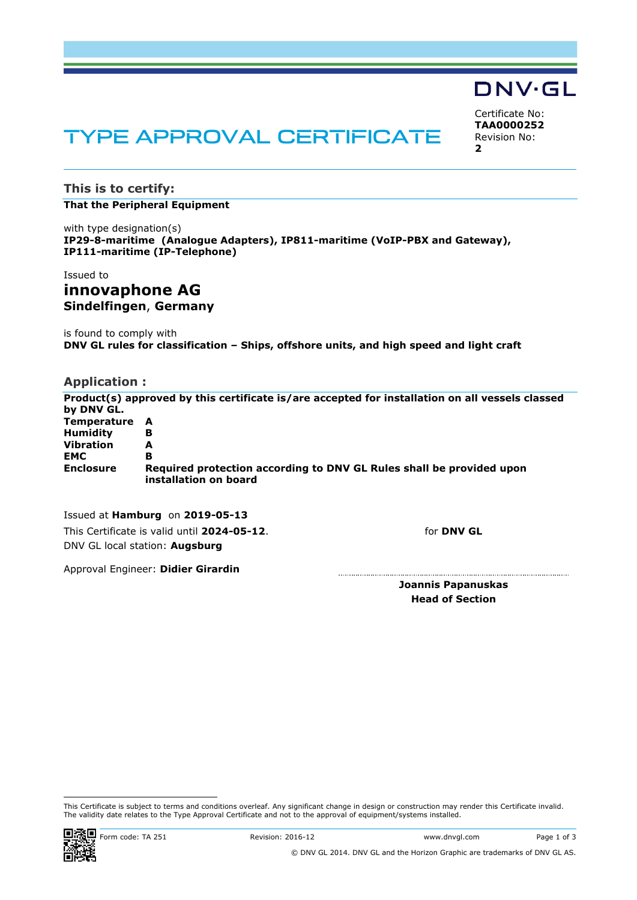# TYPE APPROVAL CERTIFICATE

**This is to certify:**

#### **That the Peripheral Equipment**

with type designation(s) **IP29-8-maritime (Analogue Adapters), IP811-maritime (VoIP-PBX and Gateway), IP111-maritime (IP-Telephone)**

#### Issued to

## **innovaphone AG Sindelfingen**, **Germany**

is found to comply with **DNV GL rules for classification – Ships, offshore units, and high speed and light craft**

### **Application :**

**Product(s) approved by this certificate is/are accepted for installation on all vessels classed by DNV GL. Temperature A Humidity B Vibration A EMC B Enclosure Required protection according to DNV GL Rules shall be provided upon installation on board**

Issued at **Hamburg** on **2019-05-13** This Certificate is valid until **2024-05-12**. DNV GL local station: **Augsburg**

for **DNV GL**

Approval Engineer: **Didier Girardin**

**Joannis Papanuskas Head of Section**

## **DNV·GL**

<span id="page-0-2"></span><span id="page-0-1"></span><span id="page-0-0"></span>Certificate No: **TAA0000252** Revision No: **2**

This Certificate is subject to terms and conditions overleaf. Any significant change in design or construction may render this Certificate invalid. The validity date relates to the Type Approval Certificate and not to the approval of equipment/systems installed.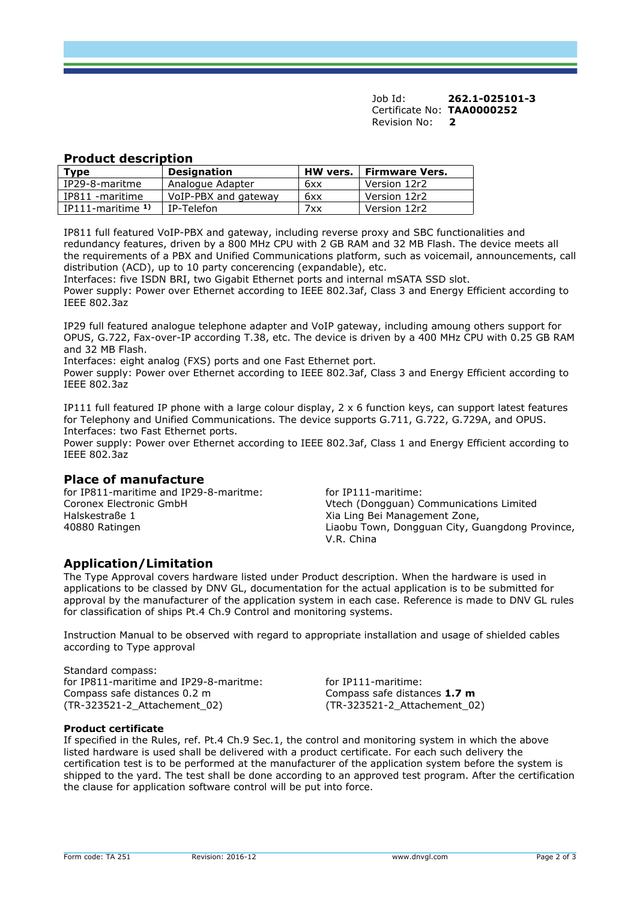Job Id: **262.1-025101-3**  Certificate No: **[TAA0000252](#page-0-0)** [Revision No:](#page-0-1) **[2](#page-0-2)** 

### **Product description**

| <b>Type</b>             | <b>Designation</b>   | <b>HW</b> vers. | Firmware Vers. |
|-------------------------|----------------------|-----------------|----------------|
| IP29-8-maritme          | Analogue Adapter     | 6xx             | Version 12r2   |
| IP811 -maritime         | VoIP-PBX and gateway | 6xx             | Version 12r2   |
| $IP111$ -maritime $1$ ) | IP-Telefon           | 7xx             | Version 12r2   |
|                         |                      |                 |                |

IP811 full featured VoIP-PBX and gateway, including reverse proxy and SBC functionalities and redundancy features, driven by a 800 MHz CPU with 2 GB RAM and 32 MB Flash. The device meets all the requirements of a PBX and Unified Communications platform, such as voicemail, announcements, call distribution (ACD), up to 10 party concerencing (expandable), etc.

Interfaces: five ISDN BRI, two Gigabit Ethernet ports and internal mSATA SSD slot. Power supply: Power over Ethernet according to IEEE 802.3af, Class 3 and Energy Efficient according to IEEE 802.3az

IP29 full featured analogue telephone adapter and VoIP gateway, including amoung others support for OPUS, G.722, Fax-over-IP according T.38, etc. The device is driven by a 400 MHz CPU with 0.25 GB RAM and 32 MB Flash.

Interfaces: eight analog (FXS) ports and one Fast Ethernet port.

Power supply: Power over Ethernet according to IEEE 802.3af, Class 3 and Energy Efficient according to IEEE 802.3az

IP111 full featured IP phone with a large colour display, 2 x 6 function keys, can support latest features for Telephony and Unified Communications. The device supports G.711, G.722, G.729A, and OPUS. Interfaces: two Fast Ethernet ports.

Power supply: Power over Ethernet according to IEEE 802.3af, Class 1 and Energy Efficient according to IEEE 802.3az

## **Place of manufacture**

for IP811-maritime and IP29-8-maritme: for IP111-maritime: Coronex Electronic GmbH Halskestraße 1 40880 Ratingen

Vtech (Dongguan) Communications Limited Xia Ling Bei Management Zone, Liaobu Town, Dongguan City, Guangdong Province, V.R. China

## **Application/Limitation**

The Type Approval covers hardware listed under Product description. When the hardware is used in applications to be classed by DNV GL, documentation for the actual application is to be submitted for approval by the manufacturer of the application system in each case. Reference is made to DNV GL rules for classification of ships Pt.4 Ch.9 Control and monitoring systems.

Instruction Manual to be observed with regard to appropriate installation and usage of shielded cables according to Type approval

Standard compass: for IP811-maritime and IP29-8-maritme: for IP111-maritime: Compass safe distances 0.2 m (TR-323521-2\_Attachement\_02)

Compass safe distances **1.7 m** (TR-323521-2\_Attachement\_02)

#### **Product certificate**

If specified in the Rules, ref. Pt.4 Ch.9 Sec.1, the control and monitoring system in which the above listed hardware is used shall be delivered with a product certificate. For each such delivery the certification test is to be performed at the manufacturer of the application system before the system is shipped to the yard. The test shall be done according to an approved test program. After the certification the clause for application software control will be put into force.